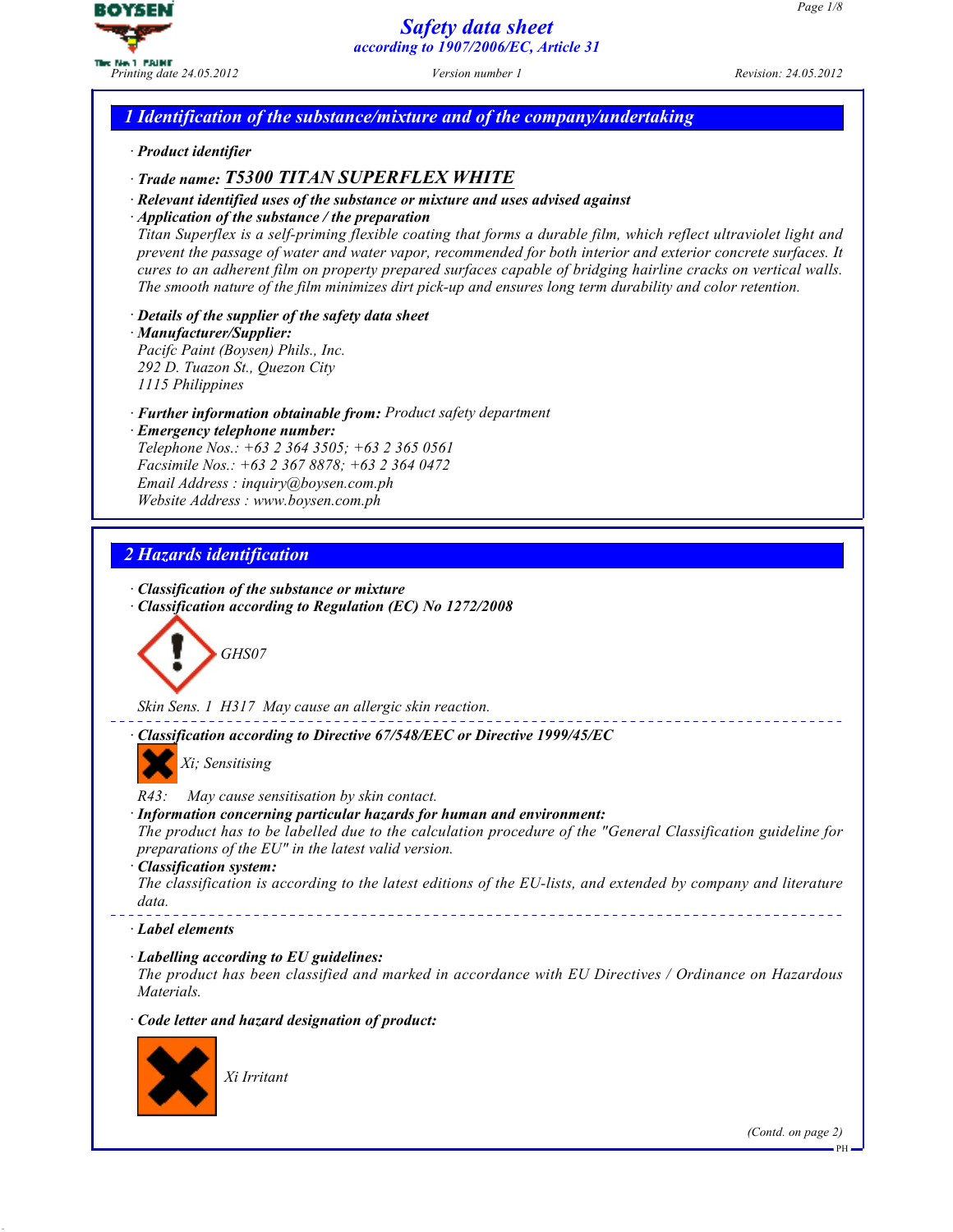

## *1 Identification of the substance/mixture and of the company/undertaking*

· *Product identifier*

## · *Trade name: T5300 TITAN SUPERFLEX WHITE*

- · *Relevant identified uses of the substance or mixture and uses advised against*
- · *Application of the substance / the preparation*

Titan Superflex is a self-priming flexible coating that forms a durable film, which reflect ultraviolet light and prevent the passage of water and water vapor, recommended for both interior and exterior concrete surfaces. It cures to an adherent film on property prepared surfaces capable of bridging hairline cracks on vertical walls. The smooth nature of the film minimizes dirt pick-up and ensures long term durability and color retention.

· *Details of the supplier of the safety data sheet*

· *Manufacturer/Supplier:* Pacifc Paint (Boysen) Phils., Inc. 292 D. Tuazon St., Quezon City

1115 Philippines

· *Further information obtainable from:* Product safety department

· *Emergency telephone number:* Telephone Nos.: +63 2 364 3505; +63 2 365 0561 Facsimile Nos.: +63 2 367 8878; +63 2 364 0472 Email Address : inquiry@boysen.com.ph Website Address : www.boysen.com.ph

# *2 Hazards identification*

- · *Classification of the substance or mixture*
- · *Classification according to Regulation (EC) No 1272/2008*



Skin Sens. 1 H317 May cause an allergic skin reaction.

· *Classification according to Directive 67/548/EEC or Directive 1999/45/EC*

Xi; Sensitising

R43: May cause sensitisation by skin contact.

· *Information concerning particular hazards for human and environment:*

The product has to be labelled due to the calculation procedure of the "General Classification guideline for preparations of the EU" in the latest valid version.

· *Classification system:*

The classification is according to the latest editions of the EU-lists, and extended by company and literature data.

· *Label elements*

· *Labelling according to EU guidelines:*

The product has been classified and marked in accordance with EU Directives / Ordinance on Hazardous Materials.

· *Code letter and hazard designation of product:*



Xi Irritant

(Contd. on page 2)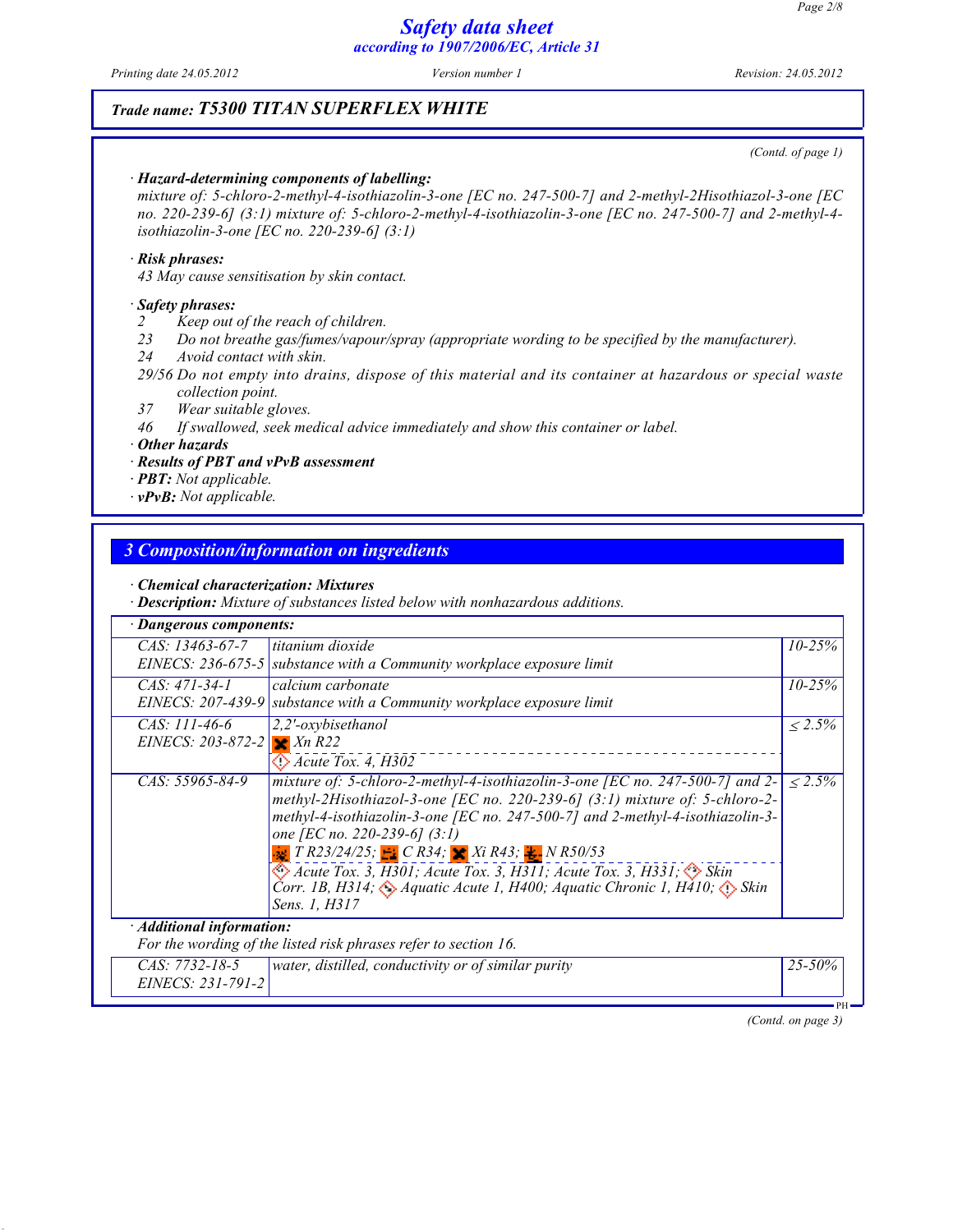Printing date 24.05.2012 Version number 1 Revision: 24.05.2012

### *Trade name: T5300 TITAN SUPERFLEX WHITE*

(Contd. of page 1)

#### · *Hazard-determining components of labelling:*

mixture of: 5-chloro-2-methyl-4-isothiazolin-3-one [EC no. 247-500-7] and 2-methyl-2Hisothiazol-3-one [EC no. 220-239-6] (3:1) mixture of: 5-chloro-2-methyl-4-isothiazolin-3-one [EC no. 247-500-7] and 2-methyl-4 isothiazolin-3-one [EC no. 220-239-6] (3:1)

#### · *Risk phrases:*

43 May cause sensitisation by skin contact.

#### · *Safety phrases:*

2 Keep out of the reach of children.

- 23 Do not breathe gas/fumes/vapour/spray (appropriate wording to be specified by the manufacturer).
- 24 Avoid contact with skin.
- 29/56 Do not empty into drains, dispose of this material and its container at hazardous or special waste collection point.
- 37 Wear suitable gloves.
- 46 If swallowed, seek medical advice immediately and show this container or label.

· *Other hazards*

· *Results of PBT and vPvB assessment*

· *PBT:* Not applicable.

· *vPvB:* Not applicable.

#### *3 Composition/information on ingredients*

· *Chemical characterization: Mixtures*

· *Description:* Mixture of substances listed below with nonhazardous additions.

| <b>Dangerous components:</b>         |                                                                                                                                                                                                                                                                                                                                                                                                                                                                                                                                                                                            |                 |
|--------------------------------------|--------------------------------------------------------------------------------------------------------------------------------------------------------------------------------------------------------------------------------------------------------------------------------------------------------------------------------------------------------------------------------------------------------------------------------------------------------------------------------------------------------------------------------------------------------------------------------------------|-----------------|
| $CAS: 13463-67-7$                    | titanium dioxide<br>EINECS: 236-675-5 substance with a Community workplace exposure limit                                                                                                                                                                                                                                                                                                                                                                                                                                                                                                  | $10 - 25\%$     |
| $CAS: 471-34-1$<br>EINECS: 207-439-9 | calcium carbonate<br>substance with a Community workplace exposure limit                                                                                                                                                                                                                                                                                                                                                                                                                                                                                                                   | $10 - 25%$      |
| CAS: 111-46-6<br>EINECS: 203-872-2   | $2,2'$ -oxybisethanol<br>$\blacktriangleright$ Xn R22<br>$\bigcirc$ Acute Tox. 4, H302                                                                                                                                                                                                                                                                                                                                                                                                                                                                                                     | $\langle 2.5\%$ |
| CAS: 55965-84-9                      | mixture of: 5-chloro-2-methyl-4-isothiazolin-3-one [EC no. 247-500-7] and 2-<br>methyl-2Hisothiazol-3-one [EC no. 220-239-6] (3:1) mixture of: 5-chloro-2-<br>methyl-4-isothiazolin-3-one [EC no. 247-500-7] and 2-methyl-4-isothiazolin-3-<br>one [EC no. 220-239-6] $(3:1)$<br>$\frac{1}{28}$ T R23/24/25; $\frac{1}{28}$ C R34; $\frac{1}{28}$ Xi R43; $\frac{1}{28}$ N R50/53<br>$\Diamond$ Acute Tox. 3, H301; Acute Tox. 3, H311; Acute Tox. 3, H331; $\Diamond$ Skin<br>Corr. 1B, H314; $\bigcirc$ Aquatic Acute 1, H400; Aquatic Chronic 1, H410; $\bigcirc$ Skin<br>Sens. 1, H317 | $\leq 2.5\%$    |
| $\cdot$ Additional information:      | For the wording of the listed risk phrases refer to section 16.                                                                                                                                                                                                                                                                                                                                                                                                                                                                                                                            |                 |
| CAS: 7732-18-5<br>EINECS: 231-791-2  | water, distilled, conductivity or of similar purity                                                                                                                                                                                                                                                                                                                                                                                                                                                                                                                                        | 25-50%          |

(Contd. on page 3)

PH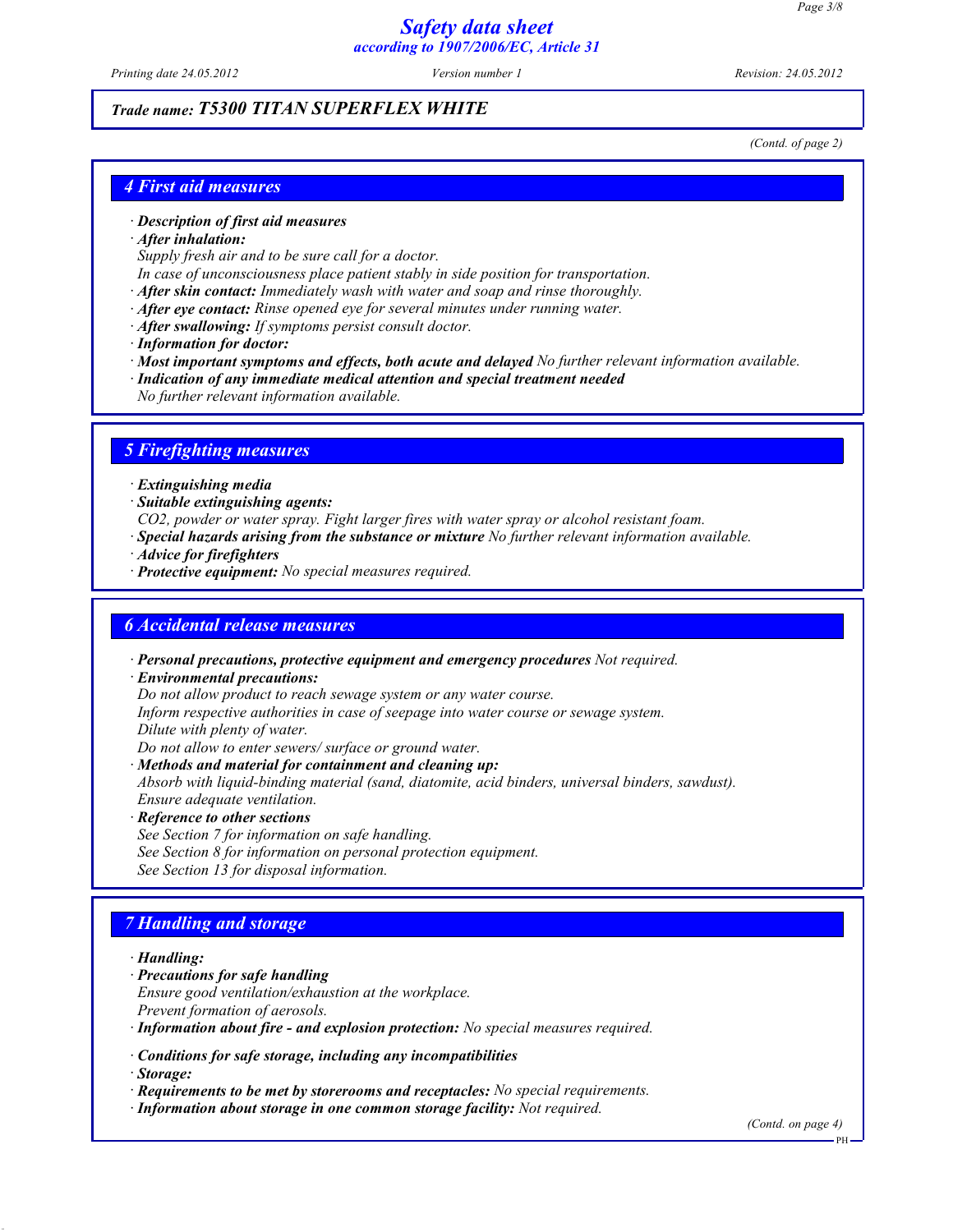Printing date 24.05.2012 Version number 1 Revision: 24.05.2012

### *Trade name: T5300 TITAN SUPERFLEX WHITE*

(Contd. of page 2)

### *4 First aid measures*

#### · *Description of first aid measures*

· *After inhalation:*

Supply fresh air and to be sure call for a doctor.

In case of unconsciousness place patient stably in side position for transportation.

· *After skin contact:* Immediately wash with water and soap and rinse thoroughly.

- · *After eye contact:* Rinse opened eye for several minutes under running water.
- · *After swallowing:* If symptoms persist consult doctor.
- · *Information for doctor:*

· *Most important symptoms and effects, both acute and delayed* No further relevant information available.

- · *Indication of any immediate medical attention and special treatment needed*
	- No further relevant information available.

### *5 Firefighting measures*

- · *Extinguishing media*
- · *Suitable extinguishing agents:*
- CO2, powder or water spray. Fight larger fires with water spray or alcohol resistant foam.
- · *Special hazards arising from the substance or mixture* No further relevant information available.
- · *Advice for firefighters*
- · *Protective equipment:* No special measures required.

#### *6 Accidental release measures*

· *Personal precautions, protective equipment and emergency procedures* Not required.

· *Environmental precautions:*

Do not allow product to reach sewage system or any water course.

Inform respective authorities in case of seepage into water course or sewage system.

Dilute with plenty of water.

Do not allow to enter sewers/ surface or ground water.

· *Methods and material for containment and cleaning up:*

Absorb with liquid-binding material (sand, diatomite, acid binders, universal binders, sawdust). Ensure adequate ventilation.

- · *Reference to other sections*
- See Section 7 for information on safe handling.
- See Section 8 for information on personal protection equipment.
- See Section 13 for disposal information.

### *7 Handling and storage*

· *Handling:*

- · *Precautions for safe handling*
- Ensure good ventilation/exhaustion at the workplace.
- Prevent formation of aerosols.
- · *Information about fire and explosion protection:* No special measures required.
- · *Conditions for safe storage, including any incompatibilities*

· *Storage:*

- · *Requirements to be met by storerooms and receptacles:* No special requirements.
- · *Information about storage in one common storage facility:* Not required.

(Contd. on page 4)

PH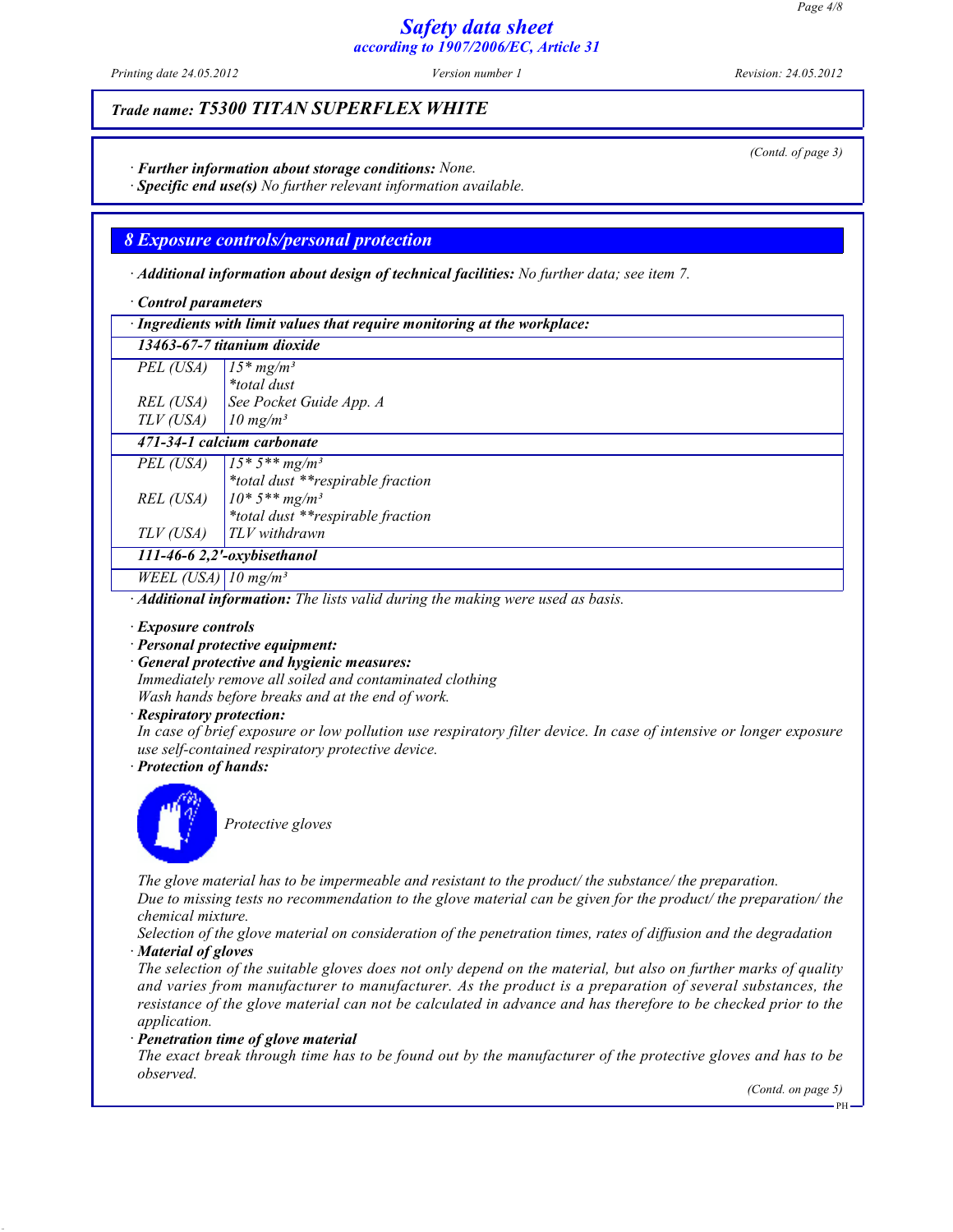Printing date 24.05.2012 Version number 1 Revision: 24.05.2012

### *Trade name: T5300 TITAN SUPERFLEX WHITE*

· *Further information about storage conditions:* None.

· *Specific end use(s)* No further relevant information available.

### *8 Exposure controls/personal protection*

· *Additional information about design of technical facilities:* No further data; see item 7.

· *Control parameters*

| · Ingredients with limit values that require monitoring at the workplace: |                                   |  |
|---------------------------------------------------------------------------|-----------------------------------|--|
| 13463-67-7 titanium dioxide                                               |                                   |  |
| PEL (USA)                                                                 | $15*mg/m3$                        |  |
|                                                                           | <i>*total dust</i>                |  |
| REL (USA)                                                                 | See Pocket Guide App. A           |  |
| TLV (USA)                                                                 | $10$ mg/m <sup>3</sup>            |  |
| 471-34-1 calcium carbonate                                                |                                   |  |
| PEL (USA)                                                                 | $15 * 5 ** mg/m^3$                |  |
|                                                                           | *total dust **respirable fraction |  |
| REL (USA)                                                                 | $10*5**mg/m^3$                    |  |
|                                                                           | *total dust **respirable fraction |  |
| TLV (USA)                                                                 | $TLV$ withdrawn                   |  |
| 111-46-6 2,2'-oxybisethanol                                               |                                   |  |
| WEEL (USA) 10 mg/m <sup>3</sup>                                           |                                   |  |

· *Additional information:* The lists valid during the making were used as basis.

- · *Exposure controls*
- · *Personal protective equipment:*
- · *General protective and hygienic measures:*

Immediately remove all soiled and contaminated clothing Wash hands before breaks and at the end of work.

- · *Respiratory protection:*
- In case of brief exposure or low pollution use respiratory filter device. In case of intensive or longer exposure use self-contained respiratory protective device.

· *Protection of hands:*



Protective gloves

The glove material has to be impermeable and resistant to the product/ the substance/ the preparation.

Due to missing tests no recommendation to the glove material can be given for the product/ the preparation/ the chemical mixture.

Selection of the glove material on consideration of the penetration times, rates of diffusion and the degradation · *Material of gloves*

The selection of the suitable gloves does not only depend on the material, but also on further marks of quality and varies from manufacturer to manufacturer. As the product is a preparation of several substances, the resistance of the glove material can not be calculated in advance and has therefore to be checked prior to the application.

· *Penetration time of glove material*

The exact break through time has to be found out by the manufacturer of the protective gloves and has to be observed.

(Contd. on page 5)

(Contd. of page 3)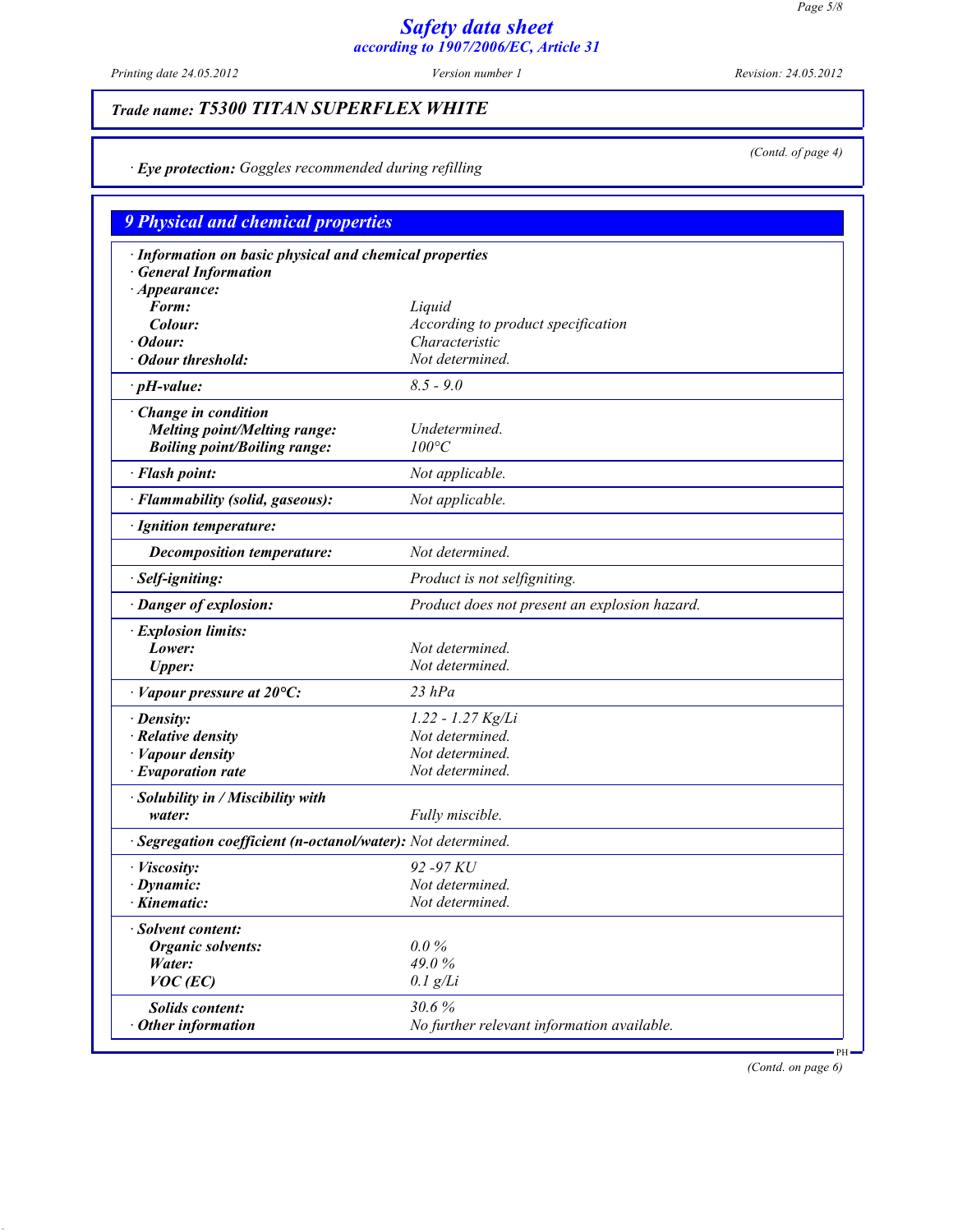Printing date 24.05.2012 Version number 1 Revision: 24.05.2012

(Contd. of page 4)

# *Trade name: T5300 TITAN SUPERFLEX WHITE*

· *Eye protection:* Goggles recommended during refilling

| <b>9 Physical and chemical properties</b>                    |                                               |  |
|--------------------------------------------------------------|-----------------------------------------------|--|
| · Information on basic physical and chemical properties      |                                               |  |
| <b>General Information</b>                                   |                                               |  |
| $\cdot$ Appearance:                                          |                                               |  |
| Form:                                                        | Liquid                                        |  |
| Colour:                                                      | According to product specification            |  |
| Odour:                                                       | Characteristic                                |  |
| · Odour threshold:                                           | Not determined.                               |  |
| $\cdot$ pH-value:                                            | $8.5 - 9.0$                                   |  |
| · Change in condition                                        |                                               |  |
| <b>Melting point/Melting range:</b>                          | Undetermined.                                 |  |
| <b>Boiling point/Boiling range:</b>                          | $100^{\circ}C$                                |  |
| · Flash point:                                               | Not applicable.                               |  |
| · Flammability (solid, gaseous):                             | Not applicable.                               |  |
| · Ignition temperature:                                      |                                               |  |
| <b>Decomposition temperature:</b>                            | Not determined.                               |  |
| · Self-igniting:                                             | Product is not selfigniting.                  |  |
| · Danger of explosion:                                       | Product does not present an explosion hazard. |  |
| · Explosion limits:                                          |                                               |  |
| Lower:                                                       | Not determined.                               |  |
| <b>Upper:</b>                                                | Not determined.                               |  |
| $\cdot$ Vapour pressure at 20 $\rm ^oC$ :                    | $23$ $hPa$                                    |  |
| · Density:                                                   | 1.22 - 1.27 Kg/Li                             |  |
| $\cdot$ Relative density                                     | Not determined.                               |  |
| · Vapour density                                             | Not determined.                               |  |
| $\cdot$ Evaporation rate                                     | Not determined.                               |  |
| · Solubility in / Miscibility with                           |                                               |  |
| water:                                                       | Fully miscible.                               |  |
| · Segregation coefficient (n-octanol/water): Not determined. |                                               |  |
| · Viscosity:                                                 | 92 - 97 KU                                    |  |
| $\cdot$ Dynamic:                                             | Not determined.                               |  |
| · Kinematic:                                                 | Not determined.                               |  |
| Solvent content:                                             |                                               |  |
| Organic solvents:                                            | $0.0\%$                                       |  |
| Water:                                                       | 49.0%                                         |  |
| $VOC$ (EC)                                                   | $0.1$ g/Li                                    |  |
| Solids content:                                              | 30.6%                                         |  |
| Other information                                            | No further relevant information available.    |  |

(Contd. on page 6)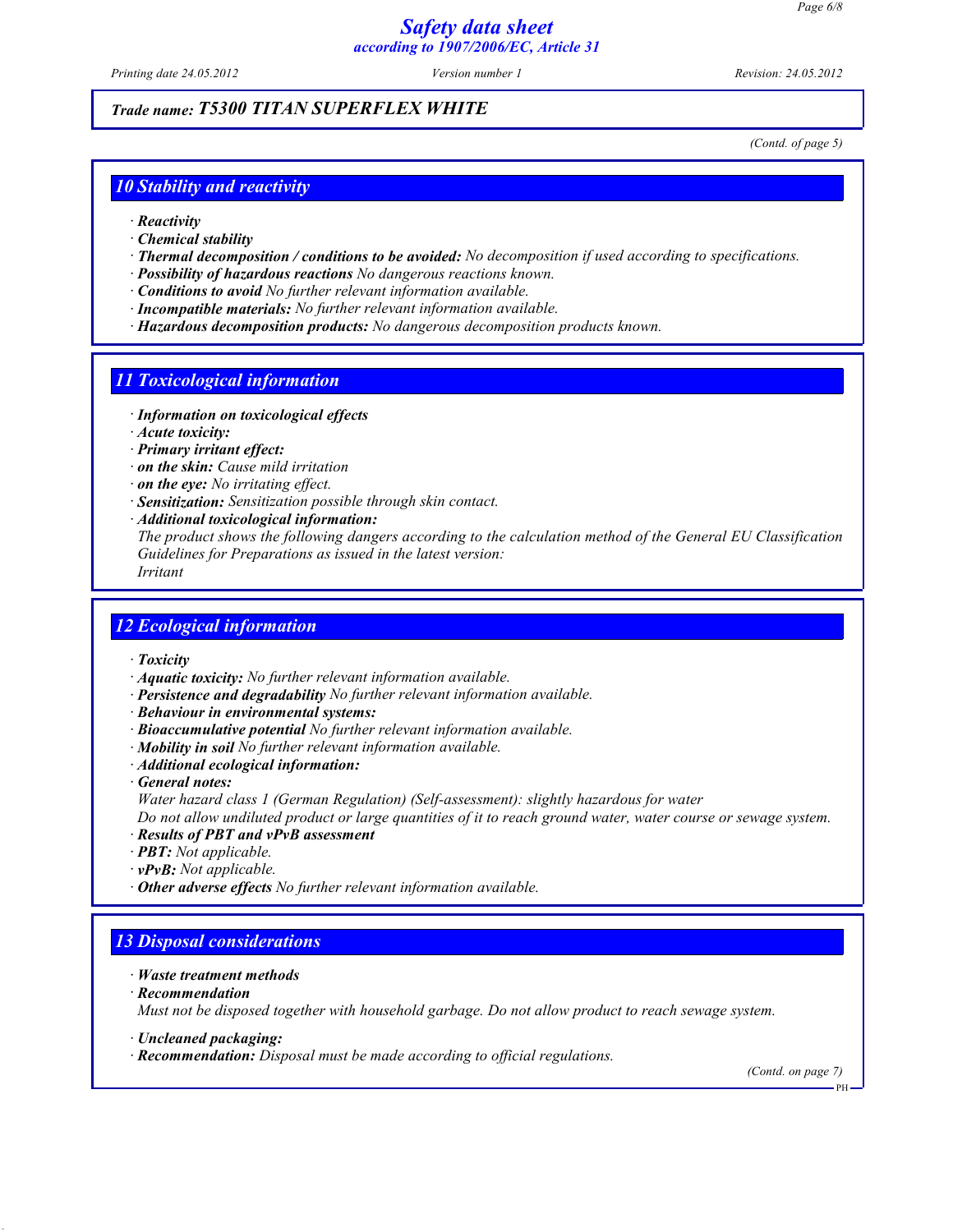Printing date 24.05.2012 Version number 1 Revision: 24.05.2012

### *Trade name: T5300 TITAN SUPERFLEX WHITE*

(Contd. of page 5)

### *10 Stability and reactivity*

- · *Reactivity*
- · *Chemical stability*
- · *Thermal decomposition / conditions to be avoided:* No decomposition if used according to specifications.
- · *Possibility of hazardous reactions* No dangerous reactions known.
- · *Conditions to avoid* No further relevant information available.
- · *Incompatible materials:* No further relevant information available.
- · *Hazardous decomposition products:* No dangerous decomposition products known.

### *11 Toxicological information*

- · *Information on toxicological effects*
- · *Acute toxicity:*
- · *Primary irritant effect:*
- · *on the skin:* Cause mild irritation
- · *on the eye:* No irritating effect.
- · *Sensitization:* Sensitization possible through skin contact.
- · *Additional toxicological information:*
- The product shows the following dangers according to the calculation method of the General EU Classification Guidelines for Preparations as issued in the latest version:
- Irritant

#### *12 Ecological information*

- · *Toxicity*
- · *Aquatic toxicity:* No further relevant information available.
- · *Persistence and degradability* No further relevant information available.
- · *Behaviour in environmental systems:*
- · *Bioaccumulative potential* No further relevant information available.
- · *Mobility in soil* No further relevant information available.
- · *Additional ecological information:*
- · *General notes:*
- Water hazard class 1 (German Regulation) (Self-assessment): slightly hazardous for water
- Do not allow undiluted product or large quantities of it to reach ground water, water course or sewage system.
- · *Results of PBT and vPvB assessment*
- · *PBT:* Not applicable.
- · *vPvB:* Not applicable.
- · *Other adverse effects* No further relevant information available.

### *13 Disposal considerations*

- · *Waste treatment methods*
- · *Recommendation*

Must not be disposed together with household garbage. Do not allow product to reach sewage system.

- · *Uncleaned packaging:*
- **Recommendation:** Disposal must be made according to official regulations.

(Contd. on page 7)

PH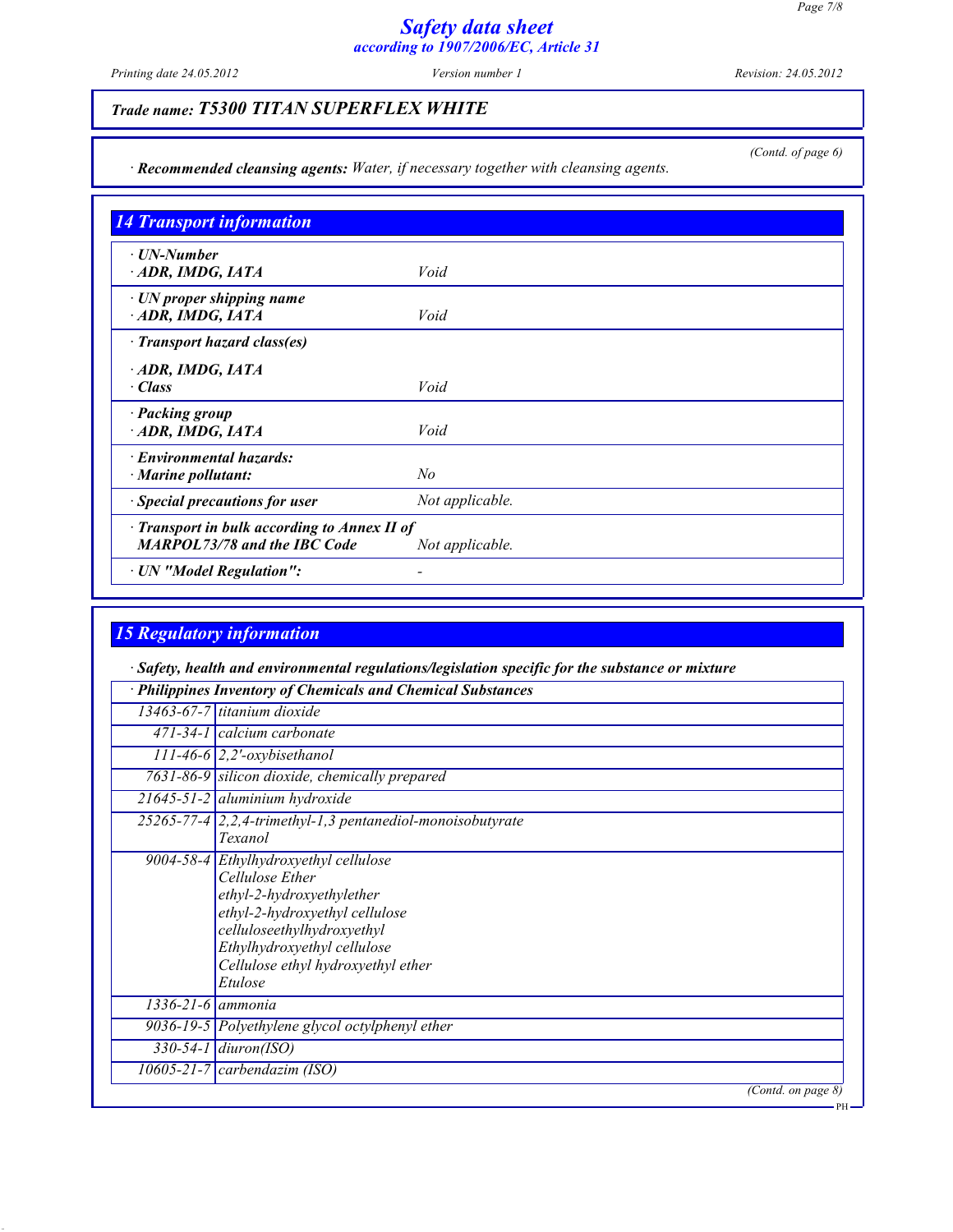Printing date 24.05.2012 Version number 1 Revision: 24.05.2012

(Contd. of page 6)

# *Trade name: T5300 TITAN SUPERFLEX WHITE*

· *Recommended cleansing agents:* Water, if necessary together with cleansing agents.

| ⋅ UN-Number<br>ADR, IMDG, IATA                     | Void            |  |
|----------------------------------------------------|-----------------|--|
|                                                    |                 |  |
| $\cdot$ UN proper shipping name<br>ADR, IMDG, IATA | Void            |  |
| $\cdot$ Transport hazard class(es)                 |                 |  |
| ADR, IMDG, IATA                                    |                 |  |
| $\cdot$ Class                                      | Void            |  |
| · Packing group                                    |                 |  |
| ADR, IMDG, IATA                                    | Void            |  |
| $\cdot$ Environmental hazards:                     |                 |  |
| · Marine pollutant:                                | N <sub>o</sub>  |  |
| · Special precautions for user                     | Not applicable. |  |
| $\cdot$ Transport in bulk according to Annex II of |                 |  |
| <b>MARPOL73/78 and the IBC Code</b>                | Not applicable. |  |

## *15 Regulatory information*

· *Safety, health and environmental regulations/legislation specific for the substance or mixture*

|                         | · Philippines Inventory of Chemicals and Chemical Substances                                                                                                                                                                          |
|-------------------------|---------------------------------------------------------------------------------------------------------------------------------------------------------------------------------------------------------------------------------------|
|                         | $13463-67-7$ titanium dioxide                                                                                                                                                                                                         |
|                         | 471-34-1 calcium carbonate                                                                                                                                                                                                            |
|                         | $111-46-6$ 2,2'-oxybisethanol                                                                                                                                                                                                         |
|                         | 7631-86-9 silicon dioxide, chemically prepared                                                                                                                                                                                        |
|                         | $21645 - 51 - 2$ aluminium hydroxide                                                                                                                                                                                                  |
|                         | 25265-77-4   2, 2, 4-trimethyl-1, 3 pentanediol-monoisobutyrate<br><b>Texanol</b>                                                                                                                                                     |
|                         | 9004-58-4 Ethylhydroxyethyl cellulose<br>Cellulose Ether<br>ethyl-2-hydroxyethylether<br>ethyl-2-hydroxyethyl cellulose<br>celluloseethylhydroxyethyl<br>Ethylhydroxyethyl cellulose<br>Cellulose ethyl hydroxyethyl ether<br>Etulose |
| $1336 - 21 - 6$ ammonia |                                                                                                                                                                                                                                       |
|                         | 9036-19-5 Polyethylene glycol octylphenyl ether                                                                                                                                                                                       |
|                         | $330-54-1$ diuron(ISO)                                                                                                                                                                                                                |
|                         | $\overline{1060}$ 5-21-7   carbendazim (ISO)                                                                                                                                                                                          |
|                         | (Contd. on page $\delta$ )                                                                                                                                                                                                            |